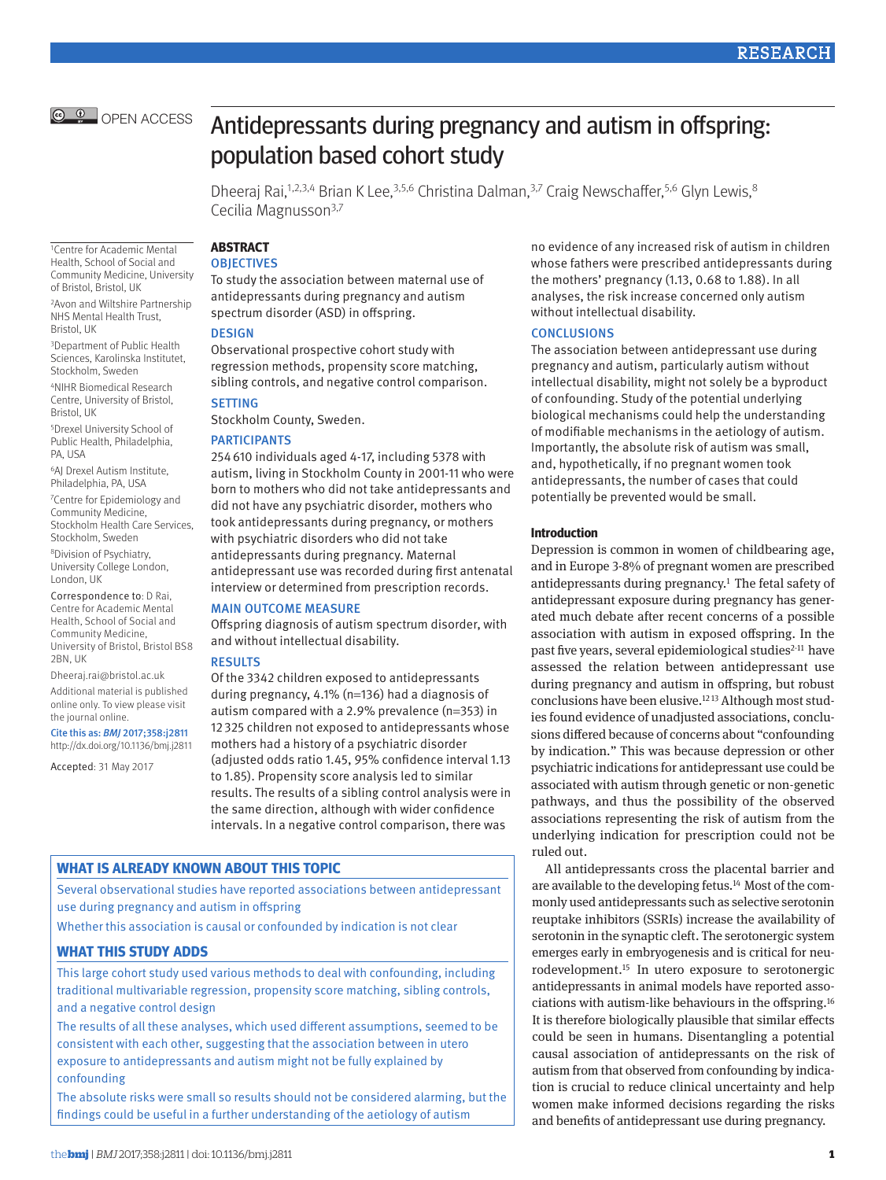

1Centre for Academic Mental Health, School of Social and Community Medicine, University of Bristol, Bristol, UK 2Avon and Wiltshire Partnership NHS Mental Health Trust,

3Department of Public Health Sciences, Karolinska Institutet, Stockholm, Sweden 4NIHR Biomedical Research Centre, University of Bristol,

5Drexel University School of Public Health, Philadelphia,

6AJ Drexel Autism Institute, Philadelphia, PA, USA 7 Centre for Epidemiology and Community Medicine, Stockholm Health Care Services,

Correspondence to: D Rai, Centre for Academic Mental Health, School of Social and Community Medicine, University of Bristol, Bristol BS8

Dheeraj.rai@bristol.ac.uk Additional material is published online only. To view please visit

Cite this as: *BMJ* 2017;358:j2811 http://dx.doi.org/10.1136/bmj.j2811 Accepted: 31 May 2017

the journal online.

Stockholm, Sweden 8Division of Psychiatry, University College London,

London, UK

2BN, UK

Bristol, UK

Bristol, UK

PA, USA

Antidepressants during pregnancy and autism in offspring: population based cohort study

Dheeraj Rai,<sup>1,2,3,4</sup> Brian K Lee,<sup>3,5,6</sup> Christina Dalman,<sup>3,7</sup> Craig Newschaffer,<sup>5,6</sup> Glyn Lewis,<sup>8</sup> Cecilia Magnusson3,7

**ABSTRACT**

# **OBJECTIVES**

To study the association between maternal use of antidepressants during pregnancy and autism spectrum disorder (ASD) in offspring.

## **DESIGN**

Observational prospective cohort study with regression methods, propensity score matching, sibling controls, and negative control comparison.

## **SETTING**

Stockholm County, Sweden.

### **PARTICIPANTS**

254610 individuals aged 4-17, including 5378 with autism, living in Stockholm County in 2001-11 who were born to mothers who did not take antidepressants and did not have any psychiatric disorder, mothers who took antidepressants during pregnancy, or mothers with psychiatric disorders who did not take antidepressants during pregnancy. Maternal antidepressant use was recorded during first antenatal interview or determined from prescription records.

#### Main outcome measure

Offspring diagnosis of autism spectrum disorder, with and without intellectual disability.

### **RESULTS**

Of the 3342 children exposed to antidepressants during pregnancy, 4.1% (n=136) had a diagnosis of autism compared with a 2.9% prevalence (n=353) in 12325 children not exposed to antidepressants whose mothers had a history of a psychiatric disorder (adjusted odds ratio 1.45, 95% confidence interval 1.13 to 1.85). Propensity score analysis led to similar results. The results of a sibling control analysis were in the same direction, although with wider confidence intervals. In a negative control comparison, there was

## **What is already known about this topic**

Several observational studies have reported associations between antidepressant use during pregnancy and autism in offspring

Whether this association is causal or confounded by indication is not clear

## **What this study adds**

This large cohort study used various methods to deal with confounding, including traditional multivariable regression, propensity score matching, sibling controls, and a negative control design

The results of all these analyses, which used different assumptions, seemed to be consistent with each other, suggesting that the association between in utero exposure to antidepressants and autism might not be fully explained by confounding

The absolute risks were small so results should not be considered alarming, but the findings could be useful in a further understanding of the aetiology of autism

no evidence of any increased risk of autism in children whose fathers were prescribed antidepressants during the mothers' pregnancy (1.13, 0.68 to 1.88). In all analyses, the risk increase concerned only autism without intellectual disability.

### **CONCLUSIONS**

The association between antidepressant use during pregnancy and autism, particularly autism without intellectual disability, might not solely be a byproduct of confounding. Study of the potential underlying biological mechanisms could help the understanding of modifiable mechanisms in the aetiology of autism. Importantly, the absolute risk of autism was small, and, hypothetically, if no pregnant women took antidepressants, the number of cases that could potentially be prevented would be small.

#### **Introduction**

Depression is common in women of childbearing age, and in Europe 3-8% of pregnant women are prescribed antidepressants during pregnancy.1 The fetal safety of antidepressant exposure during pregnancy has generated much debate after recent concerns of a possible association with autism in exposed offspring. In the past five years, several epidemiological studies<sup>2-11</sup> have assessed the relation between antidepressant use during pregnancy and autism in offspring, but robust conclusions have been elusive.12 13 Although most studies found evidence of unadjusted associations, conclusions differed because of concerns about "confounding by indication." This was because depression or other psychiatric indications for antidepressant use could be associated with autism through genetic or non-genetic pathways, and thus the possibility of the observed associations representing the risk of autism from the underlying indication for prescription could not be ruled out.

All antidepressants cross the placental barrier and are available to the developing fetus.14 Most of the commonly used antidepressants such as selective serotonin reuptake inhibitors (SSRIs) increase the availability of serotonin in the synaptic cleft. The serotonergic system emerges early in embryogenesis and is critical for neurodevelopment.15 In utero exposure to serotonergic antidepressants in animal models have reported associations with autism-like behaviours in the offspring.16 It is therefore biologically plausible that similar effects could be seen in humans. Disentangling a potential causal association of antidepressants on the risk of autism from that observed from confounding by indication is crucial to reduce clinical uncertainty and help women make informed decisions regarding the risks and benefits of antidepressant use during pregnancy.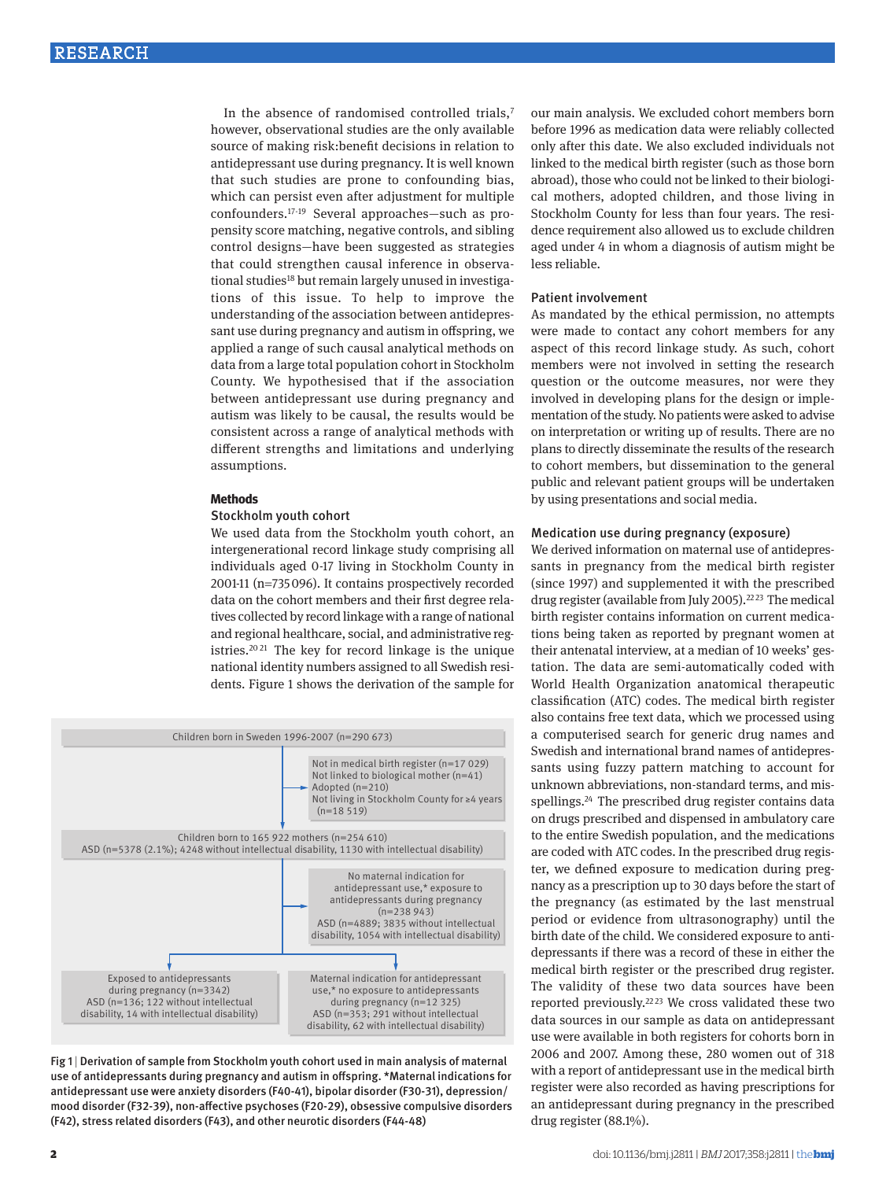In the absence of randomised controlled trials,<sup>7</sup> however, observational studies are the only available source of making risk:benefit decisions in relation to antidepressant use during pregnancy. It is well known that such studies are prone to confounding bias, which can persist even after adjustment for multiple confounders.17-19 Several approaches—such as propensity score matching, negative controls, and sibling control designs—have been suggested as strategies that could strengthen causal inference in observational studies<sup>18</sup> but remain largely unused in investigations of this issue. To help to improve the understanding of the association between antidepressant use during pregnancy and autism in offspring, we applied a range of such causal analytical methods on data from a large total population cohort in Stockholm County. We hypothesised that if the association between antidepressant use during pregnancy and autism was likely to be causal, the results would be consistent across a range of analytical methods with different strengths and limitations and underlying assumptions.

#### **Methods**

### Stockholm youth cohort

We used data from the Stockholm youth cohort, an intergenerational record linkage study comprising all individuals aged 0-17 living in Stockholm County in 2001-11 (n=735096). It contains prospectively recorded data on the cohort members and their first degree relatives collected by record linkage with a range of national and regional healthcare, social, and administrative registries.20 21 The key for record linkage is the unique national identity numbers assigned to all Swedish residents. Figure 1 shows the derivation of the sample for





our main analysis. We excluded cohort members born before 1996 as medication data were reliably collected only after this date. We also excluded individuals not linked to the medical birth register (such as those born abroad), those who could not be linked to their biological mothers, adopted children, and those living in Stockholm County for less than four years. The residence requirement also allowed us to exclude children aged under 4 in whom a diagnosis of autism might be less reliable.

#### Patient involvement

As mandated by the ethical permission, no attempts were made to contact any cohort members for any aspect of this record linkage study. As such, cohort members were not involved in setting the research question or the outcome measures, nor were they involved in developing plans for the design or implementation of the study. No patients were asked to advise on interpretation or writing up of results. There are no plans to directly disseminate the results of the research to cohort members, but dissemination to the general public and relevant patient groups will be undertaken by using presentations and social media.

### Medication use during pregnancy (exposure)

We derived information on maternal use of antidepressants in pregnancy from the medical birth register (since 1997) and supplemented it with the prescribed drug register (available from July 2005).<sup>2223</sup> The medical birth register contains information on current medications being taken as reported by pregnant women at their antenatal interview, at a median of 10 weeks' gestation. The data are semi-automatically coded with World Health Organization anatomical therapeutic classification (ATC) codes. The medical birth register also contains free text data, which we processed using a computerised search for generic drug names and Swedish and international brand names of antidepressants using fuzzy pattern matching to account for unknown abbreviations, non-standard terms, and misspellings.<sup>24</sup> The prescribed drug register contains data on drugs prescribed and dispensed in ambulatory care to the entire Swedish population, and the medications are coded with ATC codes. In the prescribed drug register, we defined exposure to medication during pregnancy as a prescription up to 30 days before the start of the pregnancy (as estimated by the last menstrual period or evidence from ultrasonography) until the birth date of the child. We considered exposure to antidepressants if there was a record of these in either the medical birth register or the prescribed drug register. The validity of these two data sources have been reported previously.<sup>22,23</sup> We cross validated these two data sources in our sample as data on antidepressant use were available in both registers for cohorts born in 2006 and 2007. Among these, 280 women out of 318 with a report of antidepressant use in the medical birth register were also recorded as having prescriptions for an antidepressant during pregnancy in the prescribed drug register (88.1%).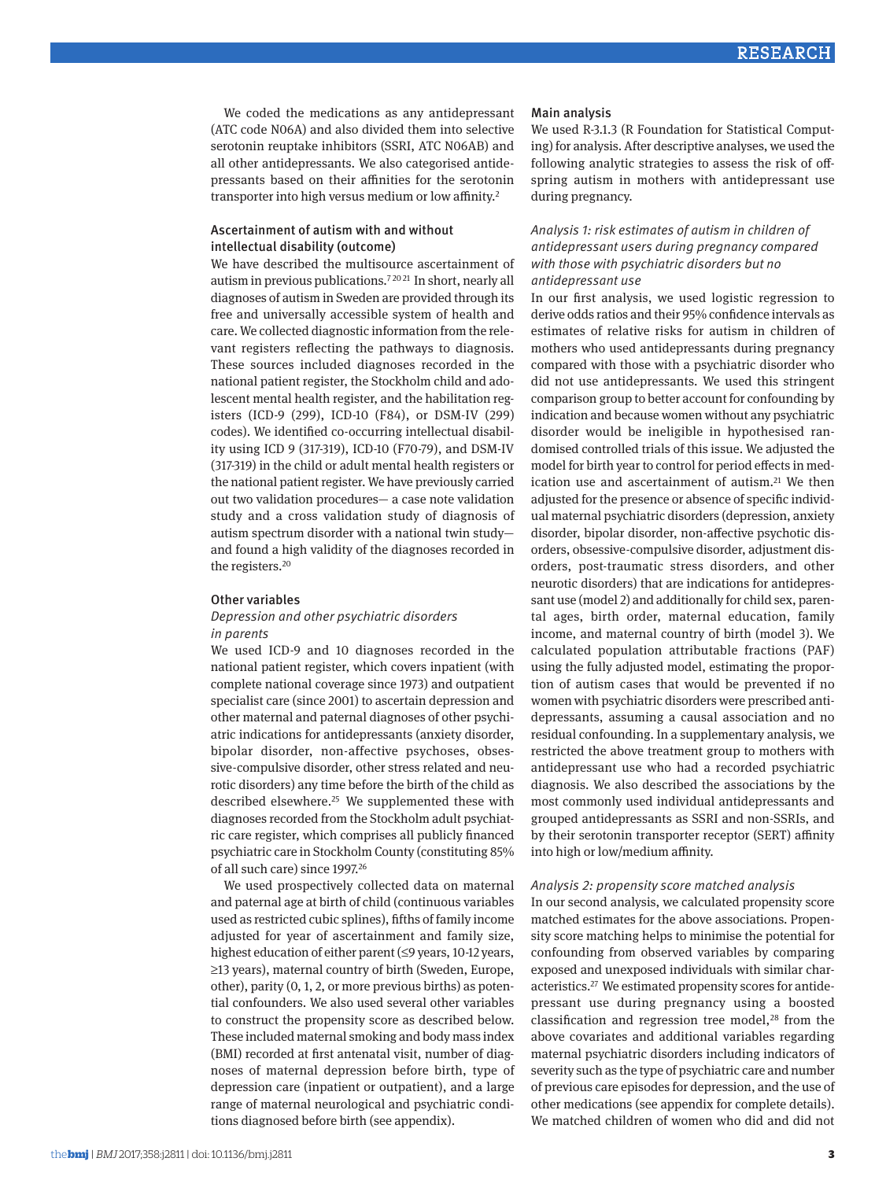We coded the medications as any antidepressant (ATC code N06A) and also divided them into selective serotonin reuptake inhibitors (SSRI, ATC N06AB) and all other antidepressants. We also categorised antidepressants based on their affinities for the serotonin transporter into high versus medium or low affinity.2

## Ascertainment of autism with and without intellectual disability (outcome)

We have described the multisource ascertainment of autism in previous publications.7 <sup>20</sup> 21 In short, nearly all diagnoses of autism in Sweden are provided through its free and universally accessible system of health and care. We collected diagnostic information from the relevant registers reflecting the pathways to diagnosis. These sources included diagnoses recorded in the national patient register, the Stockholm child and adolescent mental health register, and the habilitation registers (ICD-9 (299), ICD-10 (F84), or DSM-IV (299) codes). We identified co-occurring intellectual disability using ICD 9 (317-319), ICD-10 (F70-79), and DSM-IV (317-319) in the child or adult mental health registers or the national patient register. We have previously carried out two validation procedures— a case note validation study and a cross validation study of diagnosis of autism spectrum disorder with a national twin study and found a high validity of the diagnoses recorded in the registers.20

### Other variables

## *Depression and other psychiatric disorders in parents*

We used ICD-9 and 10 diagnoses recorded in the national patient register, which covers inpatient (with complete national coverage since 1973) and outpatient specialist care (since 2001) to ascertain depression and other maternal and paternal diagnoses of other psychiatric indications for antidepressants (anxiety disorder, bipolar disorder, non-affective psychoses, obsessive-compulsive disorder, other stress related and neurotic disorders) any time before the birth of the child as described elsewhere.<sup>25</sup> We supplemented these with diagnoses recorded from the Stockholm adult psychiatric care register, which comprises all publicly financed psychiatric care in Stockholm County (constituting 85% of all such care) since 1997.26

We used prospectively collected data on maternal and paternal age at birth of child (continuous variables used as restricted cubic splines), fifths of family income adjusted for year of ascertainment and family size, highest education of either parent (≤9 years, 10-12 years, ≥13 years), maternal country of birth (Sweden, Europe, other), parity (0, 1, 2, or more previous births) as potential confounders. We also used several other variables to construct the propensity score as described below. These included maternal smoking and body mass index (BMI) recorded at first antenatal visit, number of diagnoses of maternal depression before birth, type of depression care (inpatient or outpatient), and a large range of maternal neurological and psychiatric conditions diagnosed before birth (see appendix).

#### Main analysis

We used R-3.1.3 (R Foundation for Statistical Computing) for analysis. After descriptive analyses, we used the following analytic strategies to assess the risk of offspring autism in mothers with antidepressant use during pregnancy.

## *Analysis 1: risk estimates of autism in children of antidepressant users during pregnancy compared with those with psychiatric disorders but no antidepressant use*

In our first analysis, we used logistic regression to derive odds ratios and their 95% confidence intervals as estimates of relative risks for autism in children of mothers who used antidepressants during pregnancy compared with those with a psychiatric disorder who did not use antidepressants. We used this stringent comparison group to better account for confounding by indication and because women without any psychiatric disorder would be ineligible in hypothesised randomised controlled trials of this issue. We adjusted the model for birth year to control for period effects in medication use and ascertainment of autism.<sup>21</sup> We then adjusted for the presence or absence of specific individual maternal psychiatric disorders (depression, anxiety disorder, bipolar disorder, non-affective psychotic disorders, obsessive-compulsive disorder, adjustment disorders, post-traumatic stress disorders, and other neurotic disorders) that are indications for antidepressant use (model 2) and additionally for child sex, parental ages, birth order, maternal education, family income, and maternal country of birth (model 3). We calculated population attributable fractions (PAF) using the fully adjusted model, estimating the proportion of autism cases that would be prevented if no women with psychiatric disorders were prescribed antidepressants, assuming a causal association and no residual confounding. In a supplementary analysis, we restricted the above treatment group to mothers with antidepressant use who had a recorded psychiatric diagnosis. We also described the associations by the most commonly used individual antidepressants and grouped antidepressants as SSRI and non-SSRIs, and by their serotonin transporter receptor (SERT) affinity into high or low/medium affinity.

### *Analysis 2: propensity score matched analysis*

In our second analysis, we calculated propensity score matched estimates for the above associations. Propensity score matching helps to minimise the potential for confounding from observed variables by comparing exposed and unexposed individuals with similar characteristics.27 We estimated propensity scores for antidepressant use during pregnancy using a boosted classification and regression tree model, $28$  from the above covariates and additional variables regarding maternal psychiatric disorders including indicators of severity such as the type of psychiatric care and number of previous care episodes for depression, and the use of other medications (see appendix for complete details). We matched children of women who did and did not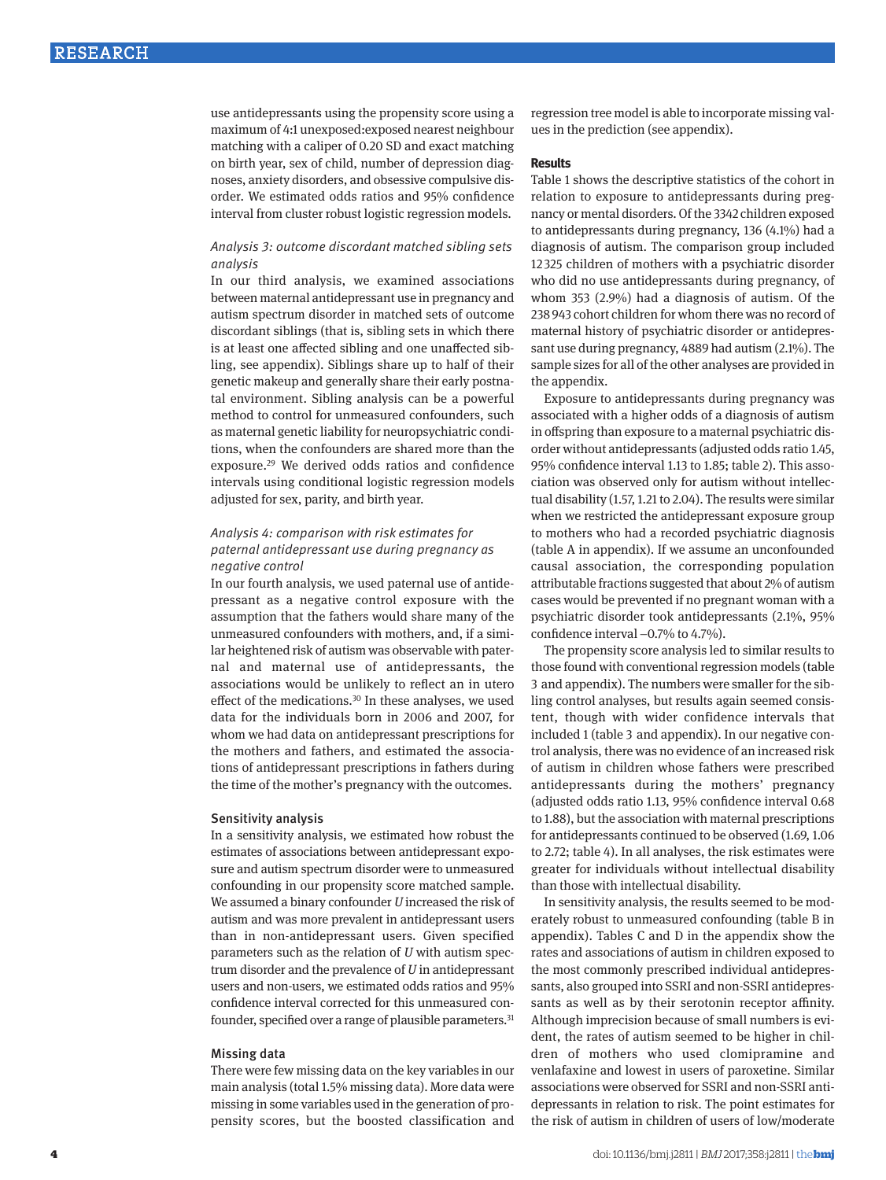use antidepressants using the propensity score using a maximum of 4:1 unexposed:exposed nearest neighbour matching with a caliper of 0.20 SD and exact matching on birth year, sex of child, number of depression diagnoses, anxiety disorders, and obsessive compulsive disorder. We estimated odds ratios and 95% confidence interval from cluster robust logistic regression models.

## *Analysis 3: outcome discordant matched sibling sets analysis*

In our third analysis, we examined associations between maternal antidepressant use in pregnancy and autism spectrum disorder in matched sets of outcome discordant siblings (that is, sibling sets in which there is at least one affected sibling and one unaffected sibling, see appendix). Siblings share up to half of their genetic makeup and generally share their early postnatal environment. Sibling analysis can be a powerful method to control for unmeasured confounders, such as maternal genetic liability for neuropsychiatric conditions, when the confounders are shared more than the exposure.29 We derived odds ratios and confidence intervals using conditional logistic regression models adjusted for sex, parity, and birth year.

## *Analysis 4: comparison with risk estimates for paternal antidepressant use during pregnancy as negative control*

In our fourth analysis, we used paternal use of antidepressant as a negative control exposure with the assumption that the fathers would share many of the unmeasured confounders with mothers, and, if a similar heightened risk of autism was observable with paternal and maternal use of antidepressants, the associations would be unlikely to reflect an in utero effect of the medications.<sup>30</sup> In these analyses, we used data for the individuals born in 2006 and 2007, for whom we had data on antidepressant prescriptions for the mothers and fathers, and estimated the associations of antidepressant prescriptions in fathers during the time of the mother's pregnancy with the outcomes.

## Sensitivity analysis

In a sensitivity analysis, we estimated how robust the estimates of associations between antidepressant exposure and autism spectrum disorder were to unmeasured confounding in our propensity score matched sample. We assumed a binary confounder *U* increased the risk of autism and was more prevalent in antidepressant users than in non-antidepressant users. Given specified parameters such as the relation of *U* with autism spectrum disorder and the prevalence of *U* in antidepressant users and non-users, we estimated odds ratios and 95% confidence interval corrected for this unmeasured confounder, specified over a range of plausible parameters.<sup>31</sup>

### Missing data

There were few missing data on the key variables in our main analysis (total 1.5% missing data). More data were missing in some variables used in the generation of propensity scores, but the boosted classification and regression tree model is able to incorporate missing values in the prediction (see appendix).

### **Results**

Table 1 shows the descriptive statistics of the cohort in relation to exposure to antidepressants during pregnancy or mental disorders. Of the 3342 children exposed to antidepressants during pregnancy, 136 (4.1%) had a diagnosis of autism. The comparison group included 12 325 children of mothers with a psychiatric disorder who did no use antidepressants during pregnancy, of whom 353 (2.9%) had a diagnosis of autism. Of the 238943 cohort children for whom there was no record of maternal history of psychiatric disorder or antidepressant use during pregnancy, 4889 had autism (2.1%). The sample sizes for all of the other analyses are provided in the appendix.

Exposure to antidepressants during pregnancy was associated with a higher odds of a diagnosis of autism in offspring than exposure to a maternal psychiatric disorder without antidepressants (adjusted odds ratio 1.45, 95% confidence interval 1.13 to 1.85; table 2). This association was observed only for autism without intellectual disability (1.57, 1.21 to 2.04). The results were similar when we restricted the antidepressant exposure group to mothers who had a recorded psychiatric diagnosis (table A in appendix). If we assume an unconfounded causal association, the corresponding population attributable fractions suggested that about 2% of autism cases would be prevented if no pregnant woman with a psychiatric disorder took antidepressants (2.1%, 95% confidence interval −0.7% to 4.7%).

The propensity score analysis led to similar results to those found with conventional regression models (table 3 and appendix). The numbers were smaller for the sibling control analyses, but results again seemed consistent, though with wider confidence intervals that included 1 (table 3 and appendix). In our negative control analysis, there was no evidence of an increased risk of autism in children whose fathers were prescribed antidepressants during the mothers' pregnancy (adjusted odds ratio 1.13, 95% confidence interval 0.68 to 1.88), but the association with maternal prescriptions for antidepressants continued to be observed (1.69, 1.06 to 2.72; table 4). In all analyses, the risk estimates were greater for individuals without intellectual disability than those with intellectual disability.

In sensitivity analysis, the results seemed to be moderately robust to unmeasured confounding (table B in appendix). Tables C and D in the appendix show the rates and associations of autism in children exposed to the most commonly prescribed individual antidepressants, also grouped into SSRI and non-SSRI antidepressants as well as by their serotonin receptor affinity. Although imprecision because of small numbers is evident, the rates of autism seemed to be higher in children of mothers who used clomipramine and venlafaxine and lowest in users of paroxetine. Similar associations were observed for SSRI and non-SSRI antidepressants in relation to risk. The point estimates for the risk of autism in children of users of low/moderate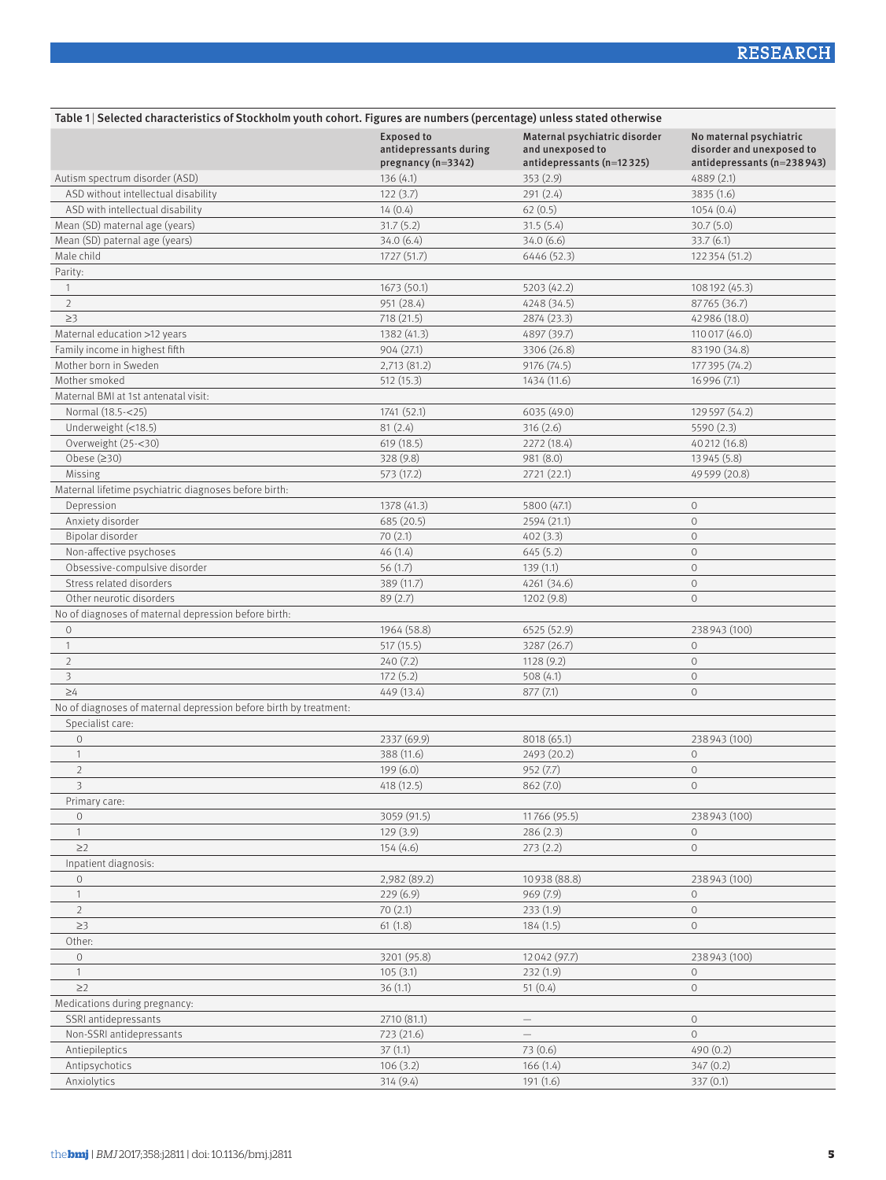| Table 1   Selected characteristics of Stockholm youth cohort. Figures are numbers (percentage) unless stated otherwise |                                                                   |                                                                                |                                                                                    |  |  |
|------------------------------------------------------------------------------------------------------------------------|-------------------------------------------------------------------|--------------------------------------------------------------------------------|------------------------------------------------------------------------------------|--|--|
|                                                                                                                        | <b>Exposed to</b><br>antidepressants during<br>pregnancy (n=3342) | Maternal psychiatric disorder<br>and unexposed to<br>antidepressants (n=12325) | No maternal psychiatric<br>disorder and unexposed to<br>antidepressants (n=238943) |  |  |
| Autism spectrum disorder (ASD)                                                                                         | 136(4.1)                                                          | 353(2.9)                                                                       | 4889 (2.1)                                                                         |  |  |
| ASD without intellectual disability                                                                                    | 122(3.7)                                                          | 291 (2.4)                                                                      | 3835 (1.6)                                                                         |  |  |
| ASD with intellectual disability                                                                                       | 14(0.4)                                                           | 62(0.5)                                                                        | 1054(0.4)                                                                          |  |  |
| Mean (SD) maternal age (years)                                                                                         | 31.7(5.2)                                                         | 31.5(5.4)                                                                      | 30.7(5.0)                                                                          |  |  |
| Mean (SD) paternal age (years)                                                                                         | 34.0(6.4)                                                         | 34.0(6.6)                                                                      | 33.7(6.1)                                                                          |  |  |
| Male child                                                                                                             | 1727 (51.7)                                                       | 6446 (52.3)                                                                    | 122 354 (51.2)                                                                     |  |  |
| Parity:                                                                                                                |                                                                   |                                                                                |                                                                                    |  |  |
| $\mathbf{1}$                                                                                                           | 1673 (50.1)                                                       | 5203 (42.2)                                                                    | 108192 (45.3)                                                                      |  |  |
| $\overline{2}$                                                                                                         | 951 (28.4)                                                        | 4248 (34.5)                                                                    | 87765 (36.7)                                                                       |  |  |
| $\geq$ 3                                                                                                               | 718 (21.5)                                                        | 2874 (23.3)                                                                    | 42 986 (18.0)                                                                      |  |  |
| Maternal education >12 years                                                                                           | 1382 (41.3)                                                       | 4897 (39.7)                                                                    | 110 017 (46.0)                                                                     |  |  |
| Family income in highest fifth                                                                                         | 904 (27.1)                                                        | 3306 (26.8)                                                                    | 83190 (34.8)                                                                       |  |  |
| Mother born in Sweden                                                                                                  | 2,713 (81.2)                                                      | 9176 (74.5)                                                                    | 177 395 (74.2)                                                                     |  |  |
| Mother smoked                                                                                                          | 512 (15.3)                                                        | 1434 (11.6)                                                                    | 16996 (7.1)                                                                        |  |  |
| Maternal BMI at 1st antenatal visit:                                                                                   |                                                                   |                                                                                |                                                                                    |  |  |
| Normal (18.5-<25)                                                                                                      | 1741 (52.1)                                                       | 6035 (49.0)                                                                    | 129 597 (54.2)                                                                     |  |  |
| Underweight (<18.5)                                                                                                    | 81(2.4)                                                           | 316(2.6)                                                                       | 5590(2.3)                                                                          |  |  |
| Overweight (25-<30)                                                                                                    | 619(18.5)                                                         | 2272 (18.4)                                                                    | 40 212 (16.8)                                                                      |  |  |
| Obese $(≥30)$                                                                                                          | 328(9.8)                                                          | 981 (8.0)                                                                      | 13945 (5.8)                                                                        |  |  |
| Missing                                                                                                                | 573 (17.2)                                                        | 2721(22.1)                                                                     | 49599 (20.8)                                                                       |  |  |
| Maternal lifetime psychiatric diagnoses before birth:                                                                  |                                                                   |                                                                                |                                                                                    |  |  |
| Depression                                                                                                             | 1378 (41.3)                                                       | 5800 (47.1)                                                                    | $\circ$                                                                            |  |  |
| Anxiety disorder                                                                                                       | 685 (20.5)                                                        | 2594 (21.1)                                                                    | $\circ$                                                                            |  |  |
| Bipolar disorder                                                                                                       | 70(2.1)                                                           | 402(3.3)                                                                       | $\circ$                                                                            |  |  |
| Non-affective psychoses                                                                                                | 46(1.4)                                                           | 645(5.2)                                                                       | $\circ$                                                                            |  |  |
| Obsessive-compulsive disorder                                                                                          | 56(1.7)                                                           | 139(1.1)                                                                       | $\circ$                                                                            |  |  |
| Stress related disorders                                                                                               | 389 (11.7)                                                        | 4261 (34.6)                                                                    | $\circ$                                                                            |  |  |
| Other neurotic disorders                                                                                               | 89(2.7)                                                           | 1202(9.8)                                                                      | $\circ$                                                                            |  |  |
| No of diagnoses of maternal depression before birth:                                                                   |                                                                   |                                                                                |                                                                                    |  |  |
| $\circ$                                                                                                                | 1964 (58.8)                                                       | 6525 (52.9)                                                                    | 238943 (100)                                                                       |  |  |
| $\mathbf{1}$                                                                                                           | 517(15.5)                                                         | 3287 (26.7)                                                                    | $\circ$                                                                            |  |  |
| $\overline{2}$                                                                                                         | 240(7.2)                                                          | 1128(9.2)                                                                      | $\circ$                                                                            |  |  |
| 3                                                                                                                      | 172(5.2)                                                          | 508(4.1)                                                                       | $\mathbf{O}$                                                                       |  |  |
| $\geq 4$                                                                                                               | 449 (13.4)                                                        | 877(7.1)                                                                       | $\circ$                                                                            |  |  |
| No of diagnoses of maternal depression before birth by treatment:                                                      |                                                                   |                                                                                |                                                                                    |  |  |
| Specialist care:                                                                                                       |                                                                   |                                                                                |                                                                                    |  |  |
| $\circ$                                                                                                                | 2337 (69.9)                                                       | 8018 (65.1)                                                                    | 238943 (100)                                                                       |  |  |
| $\mathbf{1}$                                                                                                           | 388 (11.6)                                                        | 2493 (20.2)                                                                    | $\circ$                                                                            |  |  |
| $\overline{2}$                                                                                                         | 199(6.0)                                                          | 952 (7.7)                                                                      | $\circ$                                                                            |  |  |
| 3                                                                                                                      | 418 (12.5)                                                        | 862(7.0)                                                                       | $\circ$                                                                            |  |  |
| Primary care:                                                                                                          |                                                                   |                                                                                |                                                                                    |  |  |
| $\circ$                                                                                                                | 3059 (91.5)                                                       | 11766 (95.5)                                                                   | 238943 (100)                                                                       |  |  |
| $\mathbf{1}$                                                                                                           | 129(3.9)                                                          | 286(2.3)                                                                       | $\circ$                                                                            |  |  |
| $\geq$ 2                                                                                                               | 154(4.6)                                                          | 273(2.2)                                                                       | $\circ$                                                                            |  |  |
| Inpatient diagnosis:                                                                                                   |                                                                   |                                                                                |                                                                                    |  |  |
| $\circ$                                                                                                                | 2,982 (89.2)                                                      | 10938 (88.8)                                                                   | 238943 (100)                                                                       |  |  |
| $\overline{1}$                                                                                                         | 229(6.9)                                                          | 969 (7.9)                                                                      | $\circ$                                                                            |  |  |
| $\overline{2}$                                                                                                         | 70(2.1)                                                           | 233(1.9)                                                                       | $\circ$                                                                            |  |  |
| $\geq$ 3                                                                                                               | 61(1.8)                                                           | 184(1.5)                                                                       | $\circ$                                                                            |  |  |
| Other:                                                                                                                 |                                                                   |                                                                                |                                                                                    |  |  |
| $\circ$                                                                                                                | 3201 (95.8)                                                       | 12042 (97.7)                                                                   | 238943 (100)                                                                       |  |  |
| $\mathbf{1}$                                                                                                           | 105(3.1)                                                          | 232(1.9)                                                                       | $\circ$                                                                            |  |  |
| $\geq$ 2                                                                                                               | 36(1.1)                                                           | 51(0.4)                                                                        | $\circ$                                                                            |  |  |
| Medications during pregnancy:                                                                                          |                                                                   |                                                                                |                                                                                    |  |  |
| SSRI antidepressants                                                                                                   | 2710 (81.1)                                                       | $\qquad \qquad -$                                                              | $\circ$                                                                            |  |  |
| Non-SSRI antidepressants                                                                                               | 723 (21.6)                                                        |                                                                                | $\circ$                                                                            |  |  |
| Antiepileptics                                                                                                         | 37(1.1)                                                           | 73 (0.6)                                                                       | 490 (0.2)                                                                          |  |  |
| Antipsychotics                                                                                                         | 106(3.2)                                                          | 166(1.4)                                                                       | 347(0.2)                                                                           |  |  |
| Anxiolytics                                                                                                            | 314(9.4)                                                          | 191(1.6)                                                                       | 337(0.1)                                                                           |  |  |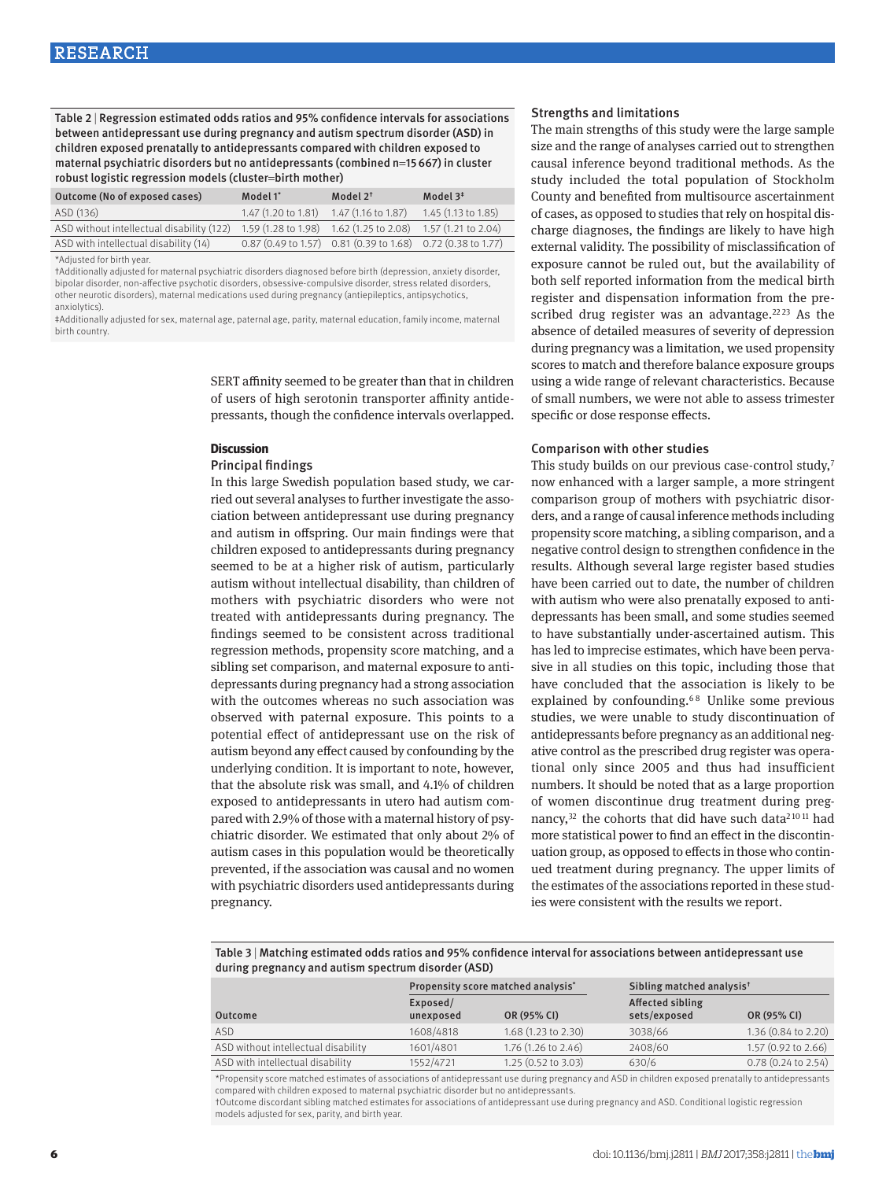Table 2 | Regression estimated odds ratios and 95% confidence intervals for associations between antidepressant use during pregnancy and autism spectrum disorder (ASD) in children exposed prenatally to antidepressants compared with children exposed to maternal psychiatric disorders but no antidepressants (combined n=15667) in cluster robust logistic regression models (cluster=birth mother)

| Outcome (No of exposed cases)             | Model 1*                                | Model $2^{\dagger}$                                               | Model $3^*$                   |
|-------------------------------------------|-----------------------------------------|-------------------------------------------------------------------|-------------------------------|
| ASD (136)                                 | 1.47 (1.20 to 1.81) 1.47 (1.16 to 1.87) |                                                                   | 1.45 (1.13 to 1.85)           |
| ASD without intellectual disability (122) | 1.59 (1.28 to 1.98) 1.62 (1.25 to 2.08) |                                                                   | $1.57(1.21 \text{ to } 2.04)$ |
| ASD with intellectual disability (14)     |                                         | $0.87$ (0.49 to 1.57) $0.81$ (0.39 to 1.68) $0.72$ (0.38 to 1.77) |                               |

\*Adjusted for birth year.

†Additionally adjusted for maternal psychiatric disorders diagnosed before birth (depression, anxiety disorder, bipolar disorder, non-affective psychotic disorders, obsessive-compulsive disorder, stress related disorders, other neurotic disorders), maternal medications used during pregnancy (antiepileptics, antipsychotics, anxiolytics).

‡Additionally adjusted for sex, maternal age, paternal age, parity, maternal education, family income, maternal birth country.

> SERT affinity seemed to be greater than that in children of users of high serotonin transporter affinity antidepressants, though the confidence intervals overlapped.

#### **Discussion**

#### Principal findings

In this large Swedish population based study, we carried out several analyses to further investigate the association between antidepressant use during pregnancy and autism in offspring. Our main findings were that children exposed to antidepressants during pregnancy seemed to be at a higher risk of autism, particularly autism without intellectual disability, than children of mothers with psychiatric disorders who were not treated with antidepressants during pregnancy. The findings seemed to be consistent across traditional regression methods, propensity score matching, and a sibling set comparison, and maternal exposure to antidepressants during pregnancy had a strong association with the outcomes whereas no such association was observed with paternal exposure. This points to a potential effect of antidepressant use on the risk of autism beyond any effect caused by confounding by the underlying condition. It is important to note, however, that the absolute risk was small, and 4.1% of children exposed to antidepressants in utero had autism compared with 2.9% of those with a maternal history of psychiatric disorder. We estimated that only about 2% of autism cases in this population would be theoretically prevented, if the association was causal and no women with psychiatric disorders used antidepressants during pregnancy.

### Strengths and limitations

The main strengths of this study were the large sample size and the range of analyses carried out to strengthen causal inference beyond traditional methods. As the study included the total population of Stockholm County and benefited from multisource ascertainment of cases, as opposed to studies that rely on hospital discharge diagnoses, the findings are likely to have high external validity. The possibility of misclassification of exposure cannot be ruled out, but the availability of both self reported information from the medical birth register and dispensation information from the prescribed drug register was an advantage.<sup>2223</sup> As the absence of detailed measures of severity of depression during pregnancy was a limitation, we used propensity scores to match and therefore balance exposure groups using a wide range of relevant characteristics. Because of small numbers, we were not able to assess trimester specific or dose response effects.

### Comparison with other studies

This study builds on our previous case-control study,7 now enhanced with a larger sample, a more stringent comparison group of mothers with psychiatric disorders, and a range of causal inference methods including propensity score matching, a sibling comparison, and a negative control design to strengthen confidence in the results. Although several large register based studies have been carried out to date, the number of children with autism who were also prenatally exposed to antidepressants has been small, and some studies seemed to have substantially under-ascertained autism. This has led to imprecise estimates, which have been pervasive in all studies on this topic, including those that have concluded that the association is likely to be explained by confounding.<sup>68</sup> Unlike some previous studies, we were unable to study discontinuation of antidepressants before pregnancy as an additional negative control as the prescribed drug register was operational only since 2005 and thus had insufficient numbers. It should be noted that as a large proportion of women discontinue drug treatment during pregnancy,<sup>32</sup> the cohorts that did have such data<sup>21011</sup> had more statistical power to find an effect in the discontinuation group, as opposed to effects in those who continued treatment during pregnancy. The upper limits of the estimates of the associations reported in these studies were consistent with the results we report.

Table 3 | Matching estimated odds ratios and 95% confidence interval for associations between antidepressant use during pregnancy and autism spectrum disorder (ASD)

|                                     | Propensity score matched analysis* |                               | Sibling matched analysis <sup>t</sup> |                               |
|-------------------------------------|------------------------------------|-------------------------------|---------------------------------------|-------------------------------|
| Outcome                             | Exposed/<br>unexposed              | OR (95% CI)                   | Affected sibling<br>sets/exposed      | OR (95% CI)                   |
| ASD                                 | 1608/4818                          | 1.68(1.23 to 2.30)            | 3038/66                               | $1.36(0.84 \text{ to } 2.20)$ |
| ASD without intellectual disability | 1601/4801                          | 1.76 (1.26 to 2.46)           | 2408/60                               | $1.57(0.92 \text{ to } 2.66)$ |
| ASD with intellectual disability    | 1552/4721                          | $1.25(0.52 \text{ to } 3.03)$ | 630/6                                 | $0.78$ $(0.24$ to $2.54)$     |

\*Propensity score matched estimates of associations of antidepressant use during pregnancy and ASD in children exposed prenatally to antidepressants compared with children exposed to maternal psychiatric disorder but no antidepressants.

†Outcome discordant sibling matched estimates for associations of antidepressant use during pregnancy and ASD. Conditional logistic regression models adjusted for sex, parity, and birth year.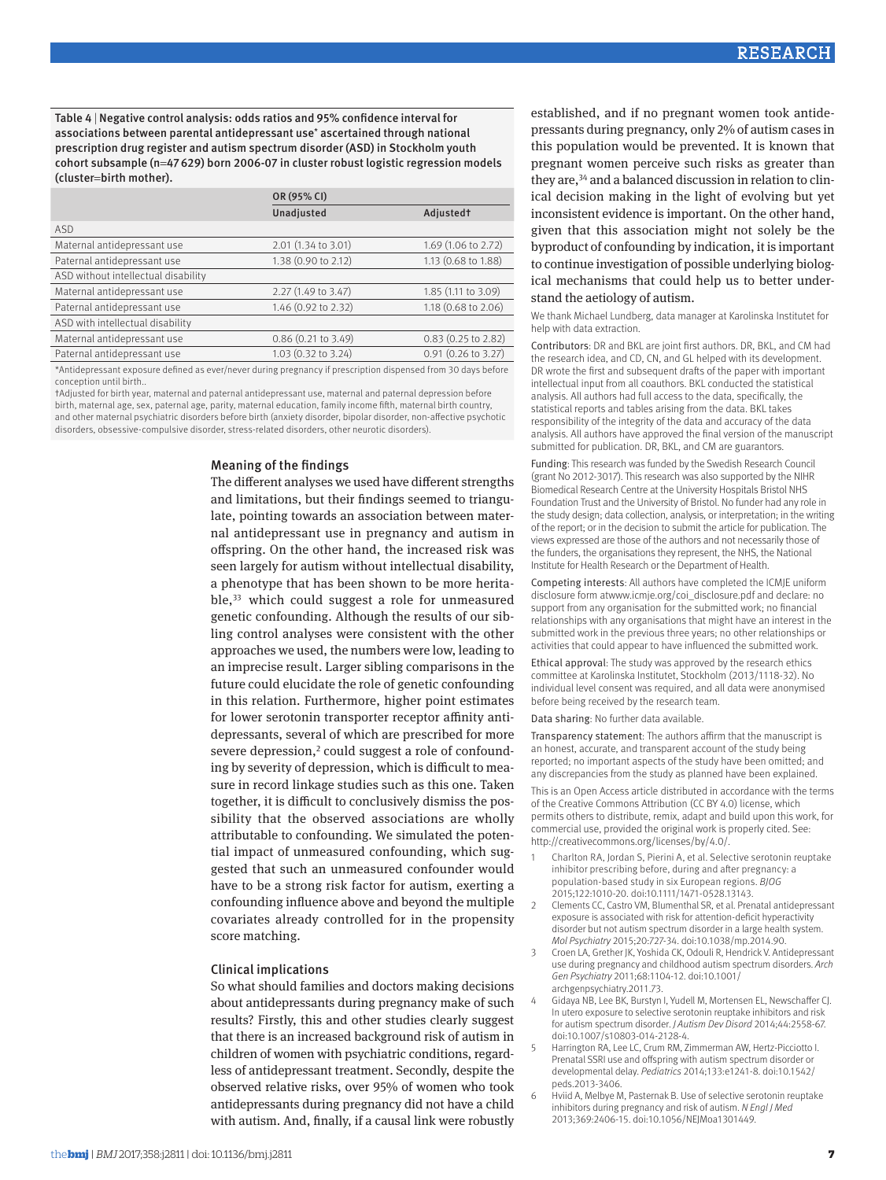Table 4 | Negative control analysis: odds ratios and 95% confidence interval for associations between parental antidepressant use\* ascertained through national prescription drug register and autism spectrum disorder (ASD) in Stockholm youth cohort subsample (n=47629) born 2006-07 in cluster robust logistic regression models (cluster=birth mother).

|                                     | OR (95% CI)           |                         |  |
|-------------------------------------|-----------------------|-------------------------|--|
|                                     | Unadjusted            | Adjustedt               |  |
| ASD                                 |                       |                         |  |
| Maternal antidepressant use         | 2.01 (1.34 to 3.01)   | 1.69 (1.06 to 2.72)     |  |
| Paternal antidepressant use         | 1.38 (0.90 to 2.12)   | 1.13 (0.68 to 1.88)     |  |
| ASD without intellectual disability |                       |                         |  |
| Maternal antidepressant use         | 2.27 (1.49 to 3.47)   | 1.85 (1.11 to 3.09)     |  |
| Paternal antidepressant use         | 1.46 (0.92 to 2.32)   | 1.18 (0.68 to 2.06)     |  |
| ASD with intellectual disability    |                       |                         |  |
| Maternal antidepressant use         | $0.86$ (0.21 to 3.49) | $0.83$ (0.25 to 2.82)   |  |
| Paternal antidepressant use         | 1.03 (0.32 to 3.24)   | $0.91$ $(0.26$ to 3.27) |  |
|                                     |                       |                         |  |

\*Antidepressant exposure defined as ever/never during pregnancy if prescription dispensed from 30 days before conception until birth..

†Adjusted for birth year, maternal and paternal antidepressant use, maternal and paternal depression before birth, maternal age, sex, paternal age, parity, maternal education, family income fifth, maternal birth country, and other maternal psychiatric disorders before birth (anxiety disorder, bipolar disorder, non-affective psychotic disorders, obsessive-compulsive disorder, stress-related disorders, other neurotic disorders).

## Meaning of the findings

The different analyses we used have different strengths and limitations, but their findings seemed to triangulate, pointing towards an association between maternal antidepressant use in pregnancy and autism in offspring. On the other hand, the increased risk was seen largely for autism without intellectual disability, a phenotype that has been shown to be more heritable,33 which could suggest a role for unmeasured genetic confounding. Although the results of our sibling control analyses were consistent with the other approaches we used, the numbers were low, leading to an imprecise result. Larger sibling comparisons in the future could elucidate the role of genetic confounding in this relation. Furthermore, higher point estimates for lower serotonin transporter receptor affinity antidepressants, several of which are prescribed for more severe depression,<sup>2</sup> could suggest a role of confounding by severity of depression, which is difficult to measure in record linkage studies such as this one. Taken together, it is difficult to conclusively dismiss the possibility that the observed associations are wholly attributable to confounding. We simulated the potential impact of unmeasured confounding, which suggested that such an unmeasured confounder would have to be a strong risk factor for autism, exerting a confounding influence above and beyond the multiple covariates already controlled for in the propensity score matching.

## Clinical implications

So what should families and doctors making decisions about antidepressants during pregnancy make of such results? Firstly, this and other studies clearly suggest that there is an increased background risk of autism in children of women with psychiatric conditions, regardless of antidepressant treatment. Secondly, despite the observed relative risks, over 95% of women who took antidepressants during pregnancy did not have a child with autism. And, finally, if a causal link were robustly established, and if no pregnant women took antidepressants during pregnancy, only 2% of autism cases in this population would be prevented. It is known that pregnant women perceive such risks as greater than they are,<sup>34</sup> and a balanced discussion in relation to clinical decision making in the light of evolving but yet inconsistent evidence is important. On the other hand, given that this association might not solely be the byproduct of confounding by indication, it is important to continue investigation of possible underlying biological mechanisms that could help us to better understand the aetiology of autism.

We thank Michael Lundberg, data manager at Karolinska Institutet for help with data extraction.

Contributors: DR and BKL are joint first authors. DR, BKL, and CM had the research idea, and CD, CN, and GL helped with its development. DR wrote the first and subsequent drafts of the paper with important intellectual input from all coauthors. BKL conducted the statistical analysis. All authors had full access to the data, specifically, the statistical reports and tables arising from the data. BKL takes responsibility of the integrity of the data and accuracy of the data analysis. All authors have approved the final version of the manuscript submitted for publication. DR, BKL, and CM are guarantors.

Funding: This research was funded by the Swedish Research Council (grant No 2012-3017). This research was also supported by the NIHR Biomedical Research Centre at the University Hospitals Bristol NHS Foundation Trust and the University of Bristol. No funder had any role in the study design; data collection, analysis, or interpretation; in the writing of the report; or in the decision to submit the article for publication. The views expressed are those of the authors and not necessarily those of the funders, the organisations they represent, the NHS, the National Institute for Health Research or the Department of Health.

Competing interests: All authors have completed the ICMJE uniform disclosure form atwww.icmje.org/coi\_disclosure.pdf and declare: no support from any organisation for the submitted work; no financial relationships with any organisations that might have an interest in the submitted work in the previous three years; no other relationships or activities that could appear to have influenced the submitted work.

Ethical approval: The study was approved by the research ethics committee at Karolinska Institutet, Stockholm (2013/1118-32). No individual level consent was required, and all data were anonymised before being received by the research team.

Data sharing: No further data available.

Transparency statement: The authors affirm that the manuscript is an honest, accurate, and transparent account of the study being reported; no important aspects of the study have been omitted; and any discrepancies from the study as planned have been explained.

This is an Open Access article distributed in accordance with the terms of the Creative Commons Attribution (CC BY 4.0) license, which permits others to distribute, remix, adapt and build upon this work, for commercial use, provided the original work is properly cited. See: http://creativecommons.org/licenses/by/4.0/.

- 1 Charlton RA, Jordan S, Pierini A, et al. Selective serotonin reuptake inhibitor prescribing before, during and after pregnancy: a population-based study in six European regions. *BJOG* 2015;122:1010-20. doi:10.1111/1471-0528.13143.
- 2 Clements CC, Castro VM, Blumenthal SR, et al. Prenatal antidepressant exposure is associated with risk for attention-deficit hyperactivity disorder but not autism spectrum disorder in a large health system. *Mol Psychiatry* 2015;20:727-34. doi:10.1038/mp.2014.90.
- 3 Croen LA, Grether JK, Yoshida CK, Odouli R, Hendrick V. Antidepressant use during pregnancy and childhood autism spectrum disorders. *Arch Gen Psychiatry* 2011;68:1104-12. doi:10.1001/ archgenpsychiatry.2011.73.
- 4 Gidaya NB, Lee BK, Burstyn I, Yudell M, Mortensen EL, Newschaffer CJ. In utero exposure to selective serotonin reuptake inhibitors and risk for autism spectrum disorder. *J Autism Dev Disord* 2014;44:2558-67. doi:10.1007/s10803-014-2128-4.
- 5 Harrington RA, Lee LC, Crum RM, Zimmerman AW, Hertz-Picciotto I. Prenatal SSRI use and offspring with autism spectrum disorder or developmental delay. *Pediatrics* 2014;133:e1241-8. doi:10.1542/ peds.2013-3406.
- 6 Hviid A, Melbye M, Pasternak B. Use of selective serotonin reuptake inhibitors during pregnancy and risk of autism. *N Engl J Med* 2013;369:2406-15. doi:10.1056/NEJMoa1301449.